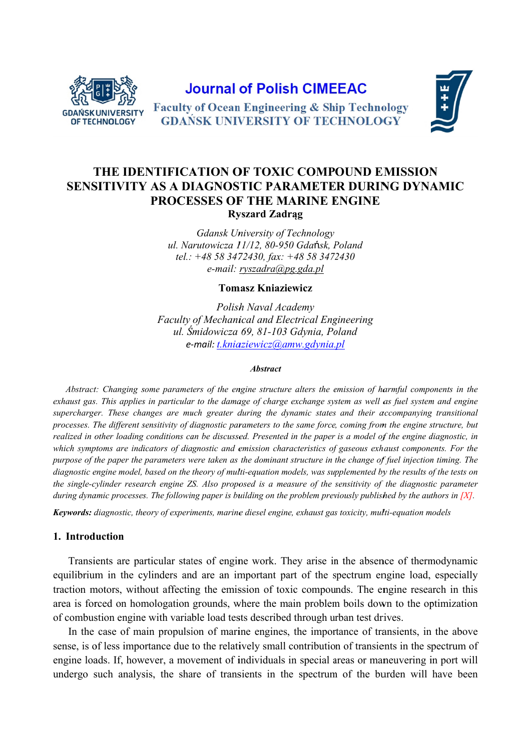

# **Journal of Polish CIMEEAC**



**Faculty of Ocean Engineering & Ship Technology GDAŃSK UNIVERSITY OF TECHNOLOGY** 

# THE IDENTIFICATION OF TOXIC COMPOUND EMISSION SENSITIVITY AS A DIAGNOSTIC PARAMETER DURING DYNAMIC PROCESSES OF THE MARINE ENGINE **Ryszard Zadrag**

**Gdansk University of Technology** ul. Narutowicza 11/12, 80-950 Gdańsk, Poland tel.:  $+48583472430$ , fax:  $+48583472430$  $e$ -mail: ryszadra@pg.gda.pl

**Tomasz Kniaziewicz** 

Polish Naval Academy **Faculty of Mechanical and Electrical Engineering** ul. Śmidowicza 69, 81-103 Gdynia, Poland e-mail: t.kniaziewicz@amw.gdynia.pl

#### **Abstract**

Abstract: Changing some parameters of the engine structure alters the emission of harmful components in the exhaust gas. This applies in particular to the damage of charge exchange system as well as fuel system and engine supercharger. These changes are much greater during the dynamic states and their accompanying transitional processes. The different sensitivity of diagnostic parameters to the same force, coming from the engine structure, but realized in other loading conditions can be discussed. Presented in the paper is a model of the engine diagnostic, in which symptoms are indicators of diagnostic and emission characteristics of gaseous exhaust components. For the purpose of the paper the parameters were taken as the dominant structure in the change of fuel injection timing. The diagnostic engine model, based on the theory of multi-equation models, was supplemented by the results of the tests on the single-cylinder research engine ZS. Also proposed is a measure of the sensitivity of the diagnostic parameter during dynamic processes. The following paper is building on the problem previously published by the authors in [X].

**Keywords:** diagnostic, theory of experiments, marine diesel engine, exhaust gas toxicity, multi-equation models

#### 1. Introduction

Transients are particular states of engine work. They arise in the absence of thermodynamic equilibrium in the cylinders and are an important part of the spectrum engine load, especially traction motors, without affecting the emission of toxic compounds. The engine research in this area is forced on homologation grounds, where the main problem boils down to the optimization of combustion engine with variable load tests described through urban test drives.

In the case of main propulsion of marine engines, the importance of transients, in the above sense, is of less importance due to the relatively small contribution of transients in the spectrum of engine loads. If, however, a movement of individuals in special areas or maneuvering in port will undergo such analysis, the share of transients in the spectrum of the burden will have been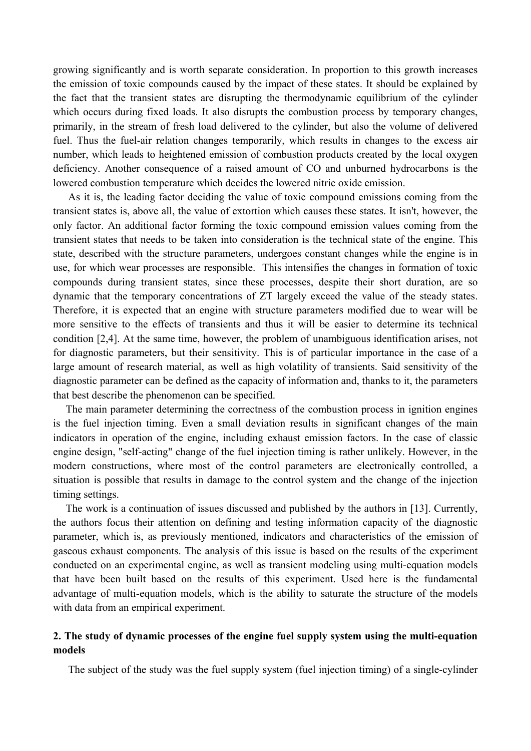growing significantly and is worth separate consideration. In proportion to this growth increases the emission of toxic compounds caused by the impact of these states. It should be explained by the fact that the transient states are disrupting the thermodynamic equilibrium of the cylinder which occurs during fixed loads. It also disrupts the combustion process by temporary changes, primarily, in the stream of fresh load delivered to the cylinder, but also the volume of delivered fuel. Thus the fuel-air relation changes temporarily, which results in changes to the excess air number, which leads to heightened emission of combustion products created by the local oxygen deficiency. Another consequence of a raised amount of CO and unburned hydrocarbons is the lowered combustion temperature which decides the lowered nitric oxide emission.

As it is, the leading factor deciding the value of toxic compound emissions coming from the transient states is, above all, the value of extortion which causes these states. It isn't, however, the only factor. An additional factor forming the toxic compound emission values coming from the transient states that needs to be taken into consideration is the technical state of the engine. This state, described with the structure parameters, undergoes constant changes while the engine is in use, for which wear processes are responsible. This intensifies the changes in formation of toxic compounds during transient states, since these processes, despite their short duration, are so dynamic that the temporary concentrations of ZT largely exceed the value of the steady states. Therefore, it is expected that an engine with structure parameters modified due to wear will be more sensitive to the effects of transients and thus it will be easier to determine its technical condition [2,4]. At the same time, however, the problem of unambiguous identification arises, not for diagnostic parameters, but their sensitivity. This is of particular importance in the case of a large amount of research material, as well as high volatility of transients. Said sensitivity of the diagnostic parameter can be defined as the capacity of information and, thanks to it, the parameters that best describe the phenomenon can be specified.

The main parameter determining the correctness of the combustion process in ignition engines is the fuel injection timing. Even a small deviation results in significant changes of the main indicators in operation of the engine, including exhaust emission factors. In the case of classic engine design, "self-acting" change of the fuel injection timing is rather unlikely. However, in the modern constructions, where most of the control parameters are electronically controlled, a situation is possible that results in damage to the control system and the change of the injection timing settings.

The work is a continuation of issues discussed and published by the authors in [13]. Currently, the authors focus their attention on defining and testing information capacity of the diagnostic parameter, which is, as previously mentioned, indicators and characteristics of the emission of gaseous exhaust components. The analysis of this issue is based on the results of the experiment conducted on an experimental engine, as well as transient modeling using multi-equation models that have been built based on the results of this experiment. Used here is the fundamental advantage of multi-equation models, which is the ability to saturate the structure of the models with data from an empirical experiment.

# **2. The study of dynamic processes of the engine fuel supply system using the multi-equation models**

The subject of the study was the fuel supply system (fuel injection timing) of a single-cylinder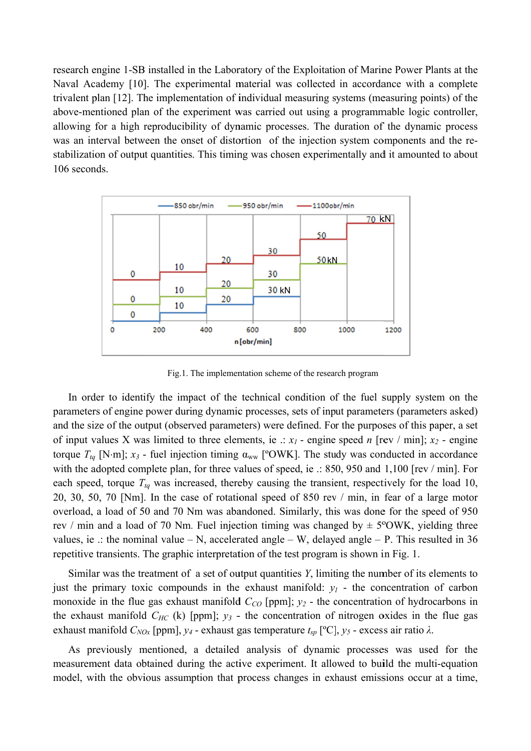research engine 1-SB installed in the Laboratory of the Exploitation of Marine Power Plants at the Naval Academy [10]. The experimental material was collected in accordance with a complete trivalent plan [12]. The implementation of individual measuring systems (measuring points) of the above-mentioned plan of the experiment was carried out using a programmable logic controller, allowing for a high reproducibility of dynamic processes. The duration of the dynamic process was an interval between the onset of distortion of the injection system components and the restabilization of output quantities. This timing was chosen experimentally and it amounted to about 106 seconds.



Fig.1. The implementation scheme of the research program

In order to identify the impact of the technical condition of the fuel supply system on the parameters of engine power during dynamic processes, sets of input parameters (parameters asked) and the size of the output (observed parameters) were defined. For the purposes of this paper, a set of input values X was limited to three elements, ie .:  $x_1$  - engine speed n [rev / min];  $x_2$  - engine torque  $T_{tq}$  [N·m];  $x_3$  - fuel injection timing  $\alpha_{ww}$  [°OWK]. The study was conducted in accordance with the adopted complete plan, for three values of speed, ie .: 850, 950 and 1,100 [rev / min]. For each speed, torque  $T_{ta}$  was increased, thereby causing the transient, respectively for the load 10, 20, 30, 50, 70 [Nm]. In the case of rotational speed of 850 rev / min, in fear of a large motor overload, a load of 50 and 70 Nm was abandoned. Similarly, this was done for the speed of 950 rev / min and a load of 70 Nm. Fuel injection timing was changed by  $\pm$  5°OWK, yielding three values, ie .: the nominal value  $- N$ , accelerated angle  $- W$ , delayed angle  $- P$ . This resulted in 36 repetitive transients. The graphic interpretation of the test program is shown in Fig. 1.

Similar was the treatment of a set of output quantities  $Y$ , limiting the number of its elements to just the primary toxic compounds in the exhaust manifold:  $y_l$  - the concentration of carbon monoxide in the flue gas exhaust manifold  $C_{CO}$  [ppm];  $y_2$  - the concentration of hydrocarbons in the exhaust manifold  $C_{HC}$  (k) [ppm];  $y_3$  - the concentration of nitrogen oxides in the flue gas exhaust manifold  $C_{NOX}$  [ppm],  $y_4$  - exhaust gas temperature  $t_{sp}$  [°C],  $y_5$  - excess air ratio  $\lambda$ .

As previously mentioned, a detailed analysis of dynamic processes was used for the measurement data obtained during the active experiment. It allowed to build the multi-equation model, with the obvious assumption that process changes in exhaust emissions occur at a time,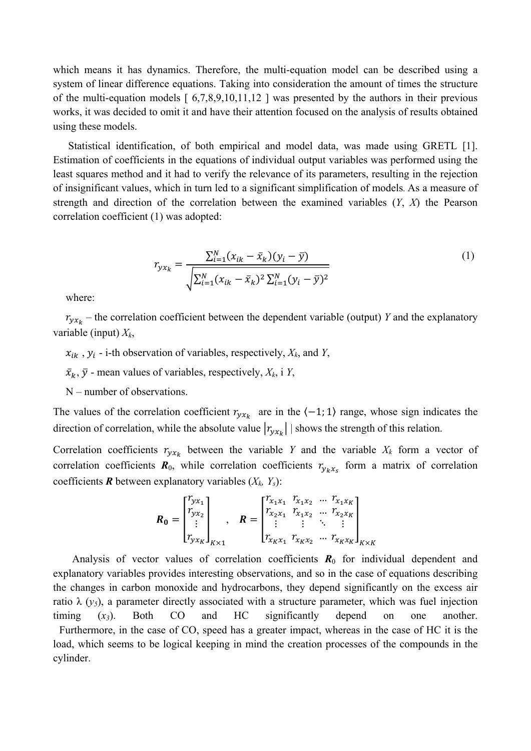which means it has dynamics. Therefore, the multi-equation model can be described using a system of linear difference equations. Taking into consideration the amount of times the structure of the multi-equation models  $\lceil 6,7,8,9,10,11,12 \rceil$  was presented by the authors in their previous works, it was decided to omit it and have their attention focused on the analysis of results obtained using these models.

Statistical identification, of both empirical and model data, was made using GRETL [1]. Estimation of coefficients in the equations of individual output variables was performed using the least squares method and it had to verify the relevance of its parameters, resulting in the rejection of insignificant values, which in turn led to a significant simplification of models. As a measure of strength and direction of the correlation between the examined variables (*Y*, *X*) the Pearson correlation coefficient (1) was adopted:

$$
r_{yx_k} = \frac{\sum_{i=1}^{N} (x_{ik} - \bar{x}_k)(y_i - \bar{y})}{\sqrt{\sum_{i=1}^{N} (x_{ik} - \bar{x}_k)^2 \sum_{i=1}^{N} (y_i - \bar{y})^2}}
$$
(1)

where:

 $r_{y x_k}$  – the correlation coefficient between the dependent variable (output) *Y* and the explanatory variable (input) *Xk*,

 $x_{ik}$ ,  $y_i$  - i-th observation of variables, respectively,  $X_k$ , and *Y*,

 $\bar{x}_k$ ,  $\bar{y}$  - mean values of variables, respectively,  $X_k$ , i  $Y$ ,

N – number of observations.

The values of the correlation coefficient  $r_{y x_k}$  are in the  $\langle -1, 1 \rangle$  range, whose sign indicates the direction of correlation, while the absolute value  $|r_{\nu x_k}|$  shows the strength of this relation.

Correlation coefficients  $r_{y x_k}$  between the variable *Y* and the variable  $X_k$  form a vector of correlation coefficients  $\mathbf{R}_0$ , while correlation coefficients  $r_{y_kx_s}$  form a matrix of correlation coefficients  $\mathbf{R}$  between explanatory variables  $(X_k, Y_s)$ :

$$
\boldsymbol{R}_{0} = \begin{bmatrix} r_{yx_1} \\ r_{yx_2} \\ \vdots \\ r_{yx_K} \end{bmatrix}_{K \times 1}, \quad \boldsymbol{R} = \begin{bmatrix} r_{x_1x_1} & r_{x_1x_2} & \cdots & r_{x_1x_K} \\ r_{x_2x_1} & r_{x_1x_2} & \cdots & r_{x_2x_K} \\ \vdots & \vdots & \ddots & \vdots \\ r_{x_Kx_1} & r_{x_Kx_2} & \cdots & r_{x_Kx_K} \end{bmatrix}_{K \times K}
$$

Analysis of vector values of correlation coefficients  $R_0$  for individual dependent and explanatory variables provides interesting observations, and so in the case of equations describing the changes in carbon monoxide and hydrocarbons, they depend significantly on the excess air ratio λ ( $y_5$ ), a parameter directly associated with a structure parameter, which was fuel injection timing (*x3*). Both CO and HC significantly depend on one another. Furthermore, in the case of CO, speed has a greater impact, whereas in the case of HC it is the load, which seems to be logical keeping in mind the creation processes of the compounds in the cylinder.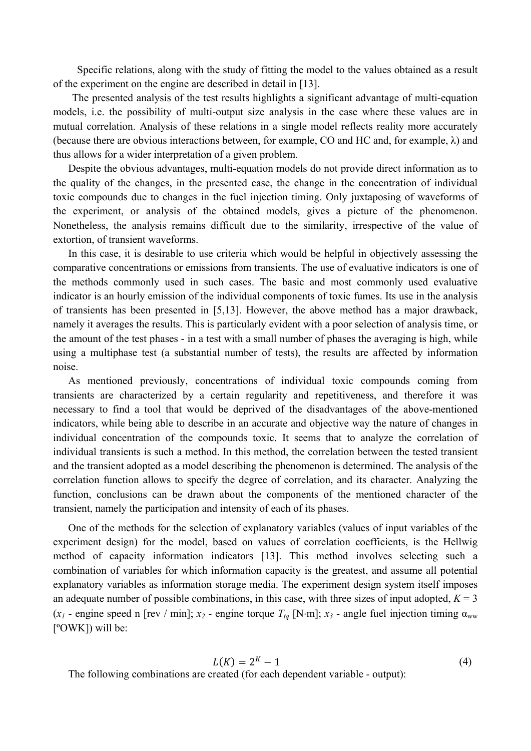Specific relations, along with the study of fitting the model to the values obtained as a result of the experiment on the engine are described in detail in [13].

The presented analysis of the test results highlights a significant advantage of multi-equation models, i.e. the possibility of multi-output size analysis in the case where these values are in mutual correlation. Analysis of these relations in a single model reflects reality more accurately (because there are obvious interactions between, for example, CO and HC and, for example, λ) and thus allows for a wider interpretation of a given problem.

Despite the obvious advantages, multi-equation models do not provide direct information as to the quality of the changes, in the presented case, the change in the concentration of individual toxic compounds due to changes in the fuel injection timing. Only juxtaposing of waveforms of the experiment, or analysis of the obtained models, gives a picture of the phenomenon. Nonetheless, the analysis remains difficult due to the similarity, irrespective of the value of extortion, of transient waveforms.

In this case, it is desirable to use criteria which would be helpful in objectively assessing the comparative concentrations or emissions from transients. The use of evaluative indicators is one of the methods commonly used in such cases. The basic and most commonly used evaluative indicator is an hourly emission of the individual components of toxic fumes. Its use in the analysis of transients has been presented in [5,13]. However, the above method has a major drawback, namely it averages the results. This is particularly evident with a poor selection of analysis time, or the amount of the test phases - in a test with a small number of phases the averaging is high, while using a multiphase test (a substantial number of tests), the results are affected by information noise.

 As mentioned previously, concentrations of individual toxic compounds coming from transients are characterized by a certain regularity and repetitiveness, and therefore it was necessary to find a tool that would be deprived of the disadvantages of the above-mentioned indicators, while being able to describe in an accurate and objective way the nature of changes in individual concentration of the compounds toxic. It seems that to analyze the correlation of individual transients is such a method. In this method, the correlation between the tested transient and the transient adopted as a model describing the phenomenon is determined. The analysis of the correlation function allows to specify the degree of correlation, and its character. Analyzing the function, conclusions can be drawn about the components of the mentioned character of the transient, namely the participation and intensity of each of its phases.

 One of the methods for the selection of explanatory variables (values of input variables of the experiment design) for the model, based on values of correlation coefficients, is the Hellwig method of capacity information indicators [13]. This method involves selecting such a combination of variables for which information capacity is the greatest, and assume all potential explanatory variables as information storage media. The experiment design system itself imposes an adequate number of possible combinations, in this case, with three sizes of input adopted,  $K = 3$ ( $x_1$  - engine speed n [rev / min];  $x_2$  - engine torque  $T_{tq}$  [N·m];  $x_3$  - angle fuel injection timing  $\alpha_{ww}$ [ºOWK]) will be:

$$
L(K) = 2^K - 1 \tag{4}
$$

The following combinations are created (for each dependent variable - output):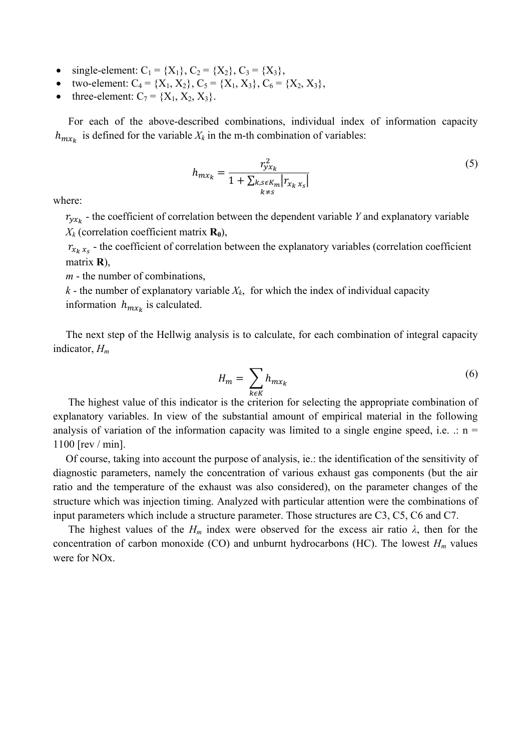- single-element:  $C_1 = \{X_1\}$ ,  $C_2 = \{X_2\}$ ,  $C_3 = \{X_3\}$ ,
- two-element:  $C_4 = \{X_1, X_2\}, C_5 = \{X_1, X_3\}, C_6 = \{X_2, X_3\},$
- three-element:  $C_7 = \{X_1, X_2, X_3\}$ .

For each of the above-described combinations, individual index of information capacity  $h_{m x_k}$  is defined for the variable  $X_k$  in the m-th combination of variables:

$$
h_{mx_k} = \frac{r_{yx_k}^2}{1 + \sum_{\substack{k,s \in K_m \\ k \neq s}} |r_{x_k x_s}|}
$$
(5)

where:

 $r_{v x_k}$  - the coefficient of correlation between the dependent variable *Y* and explanatory variable  $X_k$  (correlation coefficient matrix  $\mathbf{R}_0$ ),

 $r_{x_k x_s}$  - the coefficient of correlation between the explanatory variables (correlation coefficient matrix **R**),

*m* - the number of combinations,

 $k$  - the number of explanatory variable  $X_k$ , for which the index of individual capacity information  $h_{m x_k}$  is calculated.

The next step of the Hellwig analysis is to calculate, for each combination of integral capacity indicator, *Hm*

$$
H_m = \sum_{k \in K} h_{m x_k} \tag{6}
$$

 The highest value of this indicator is the criterion for selecting the appropriate combination of explanatory variables. In view of the substantial amount of empirical material in the following analysis of variation of the information capacity was limited to a single engine speed, i.e.  $\therefore$  n = 1100 [rev / min].

Of course, taking into account the purpose of analysis, ie.: the identification of the sensitivity of diagnostic parameters, namely the concentration of various exhaust gas components (but the air ratio and the temperature of the exhaust was also considered), on the parameter changes of the structure which was injection timing. Analyzed with particular attention were the combinations of input parameters which include a structure parameter. Those structures are C3, C5, C6 and C7.

The highest values of the  $H_m$  index were observed for the excess air ratio  $\lambda$ , then for the concentration of carbon monoxide (CO) and unburnt hydrocarbons (HC). The lowest  $H_m$  values were for NOx.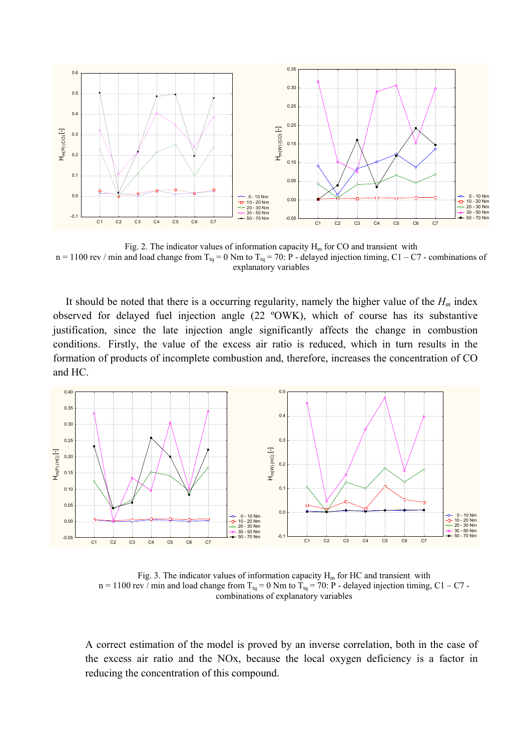

Fig. 2. The indicator values of information capacity  $H_m$  for CO and transient with  $n = 1100$  rev / min and load change from  $T_{tq} = 0$  Nm to  $T_{tq} = 70$ : P - delayed injection timing, C1 – C7 - combinations of explanatory variables

It should be noted that there is a occurring regularity, namely the higher value of the  $H_m$  index observed for delayed fuel injection angle (22 ºOWK), which of course has its substantive justification, since the late injection angle significantly affects the change in combustion conditions. Firstly, the value of the excess air ratio is reduced, which in turn results in the formation of products of incomplete combustion and, therefore, increases the concentration of CO and HC.



Fig. 3. The indicator values of information capacity  $H_m$  for HC and transient with  $n = 1100$  rev / min and load change from T<sub>tq</sub> = 0 Nm to T<sub>tq</sub> = 70: P - delayed injection timing, C1 – C7 combinations of explanatory variables

A correct estimation of the model is proved by an inverse correlation, both in the case of the excess air ratio and the NOx, because the local oxygen deficiency is a factor in reducing the concentration of this compound.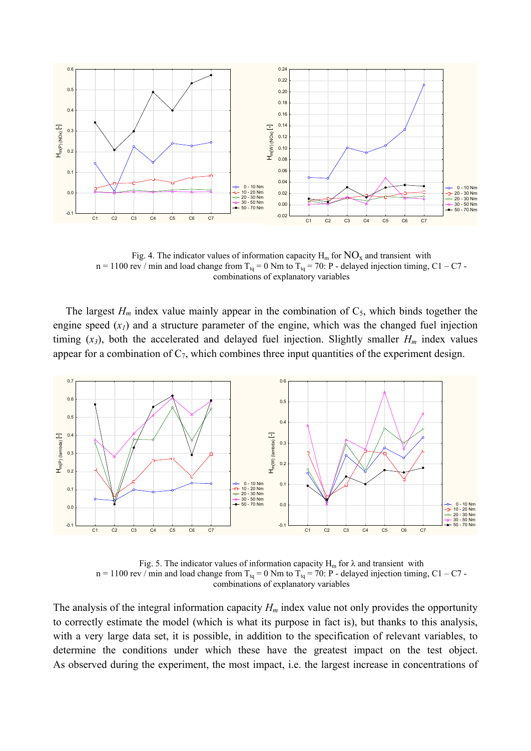

Fig. 4. The indicator values of information capacity  $H_m$  for  $NO_x$  and transient with  $n = 1100$  rev / min and load change from T<sub>tq</sub> = 0 Nm to T<sub>tq</sub> = 70: P - delayed injection timing, C1 – C7 combinations of explanatory variables

The largest  $H_m$  index value mainly appear in the combination of  $C_5$ , which binds together the engine speed (*x1*) and a structure parameter of the engine, which was the changed fuel injection timing  $(x_3)$ , both the accelerated and delayed fuel injection. Slightly smaller  $H_m$  index values appear for a combination of  $C_7$ , which combines three input quantities of the experiment design.



Fig. 5. The indicator values of information capacity  $H_m$  for  $\lambda$  and transient with  $n = 1100$  rev / min and load change from  $T_{\text{ta}} = 0$  Nm to  $T_{\text{ta}} = 70$ : P - delayed injection timing, C1 – C7 combinations of explanatory variables

The analysis of the integral information capacity  $H_m$  index value not only provides the opportunity to correctly estimate the model (which is what its purpose in fact is), but thanks to this analysis, with a very large data set, it is possible, in addition to the specification of relevant variables, to determine the conditions under which these have the greatest impact on the test object. As observed during the experiment, the most impact, i.e. the largest increase in concentrations of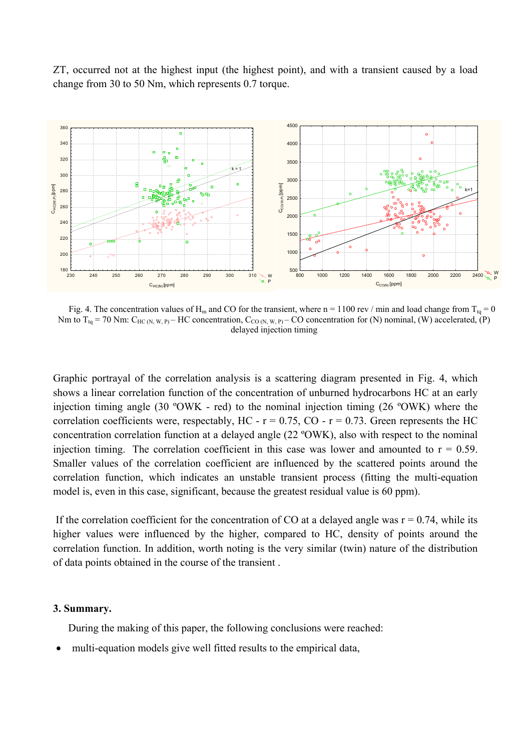ZT, occurred not at the highest input (the highest point), and with a transient caused by a load change from 30 to 50 Nm, which represents 0.7 torque.



Fig. 4. The concentration values of H<sub>m</sub> and CO for the transient, where n = 1100 rev / min and load change from T<sub>ta</sub> = 0 Nm to  $T_{tq}$  = 70 Nm:  $C_{HC(N, W, P)}$  – HC concentration,  $C_{CO(N, W, P)}$  – CO concentration for (N) nominal, (W) accelerated, (P) delayed injection timing

Graphic portrayal of the correlation analysis is a scattering diagram presented in Fig. 4, which shows a linear correlation function of the concentration of unburned hydrocarbons HC at an early injection timing angle (30 ºOWK - red) to the nominal injection timing (26 ºOWK) where the correlation coefficients were, respectably, HC -  $r = 0.75$ , CO -  $r = 0.73$ . Green represents the HC concentration correlation function at a delayed angle (22 ºOWK), also with respect to the nominal injection timing. The correlation coefficient in this case was lower and amounted to  $r = 0.59$ . Smaller values of the correlation coefficient are influenced by the scattered points around the correlation function, which indicates an unstable transient process (fitting the multi-equation model is, even in this case, significant, because the greatest residual value is 60 ppm).

If the correlation coefficient for the concentration of CO at a delayed angle was  $r = 0.74$ , while its higher values were influenced by the higher, compared to HC, density of points around the correlation function. In addition, worth noting is the very similar (twin) nature of the distribution of data points obtained in the course of the transient .

## **3. Summary.**

During the making of this paper, the following conclusions were reached:

multi-equation models give well fitted results to the empirical data,